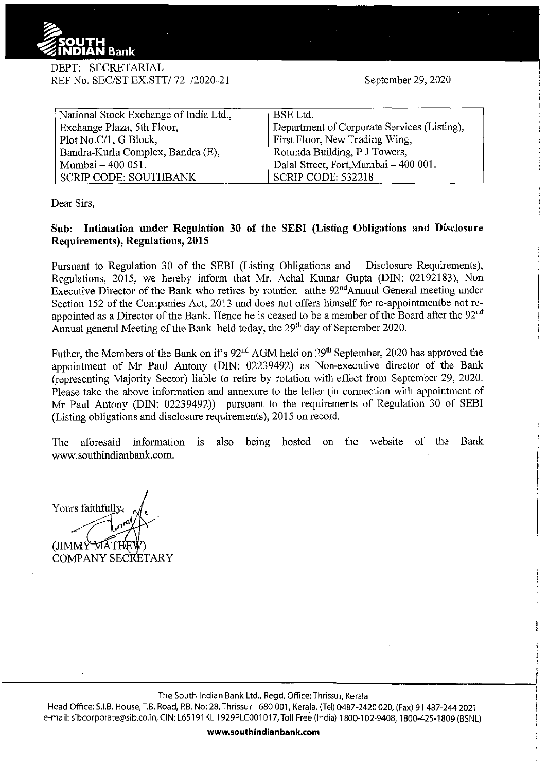

DEPT: SECRETARIAL REF No. SEC/ST EX.STT/ 72 /2020-21

September 29,2020

| National Stock Exchange of India Ltd., | BSE Ltd.                                    |
|----------------------------------------|---------------------------------------------|
| Exchange Plaza, 5th Floor,             | Department of Corporate Services (Listing), |
| Plot No.C/1, G Block,                  | First Floor, New Trading Wing,              |
| Bandra-Kurla Complex, Bandra (E),      | Rotunda Building, P J Towers,               |
| Mumbai – 400 051.                      | Dalal Street, Fort, Mumbai - 400 001.       |
| <b>SCRIP CODE: SOUTHBANK</b>           | <b>SCRIP CODE: 532218</b>                   |

Dear Sirs,

**Sub: Intimation under Regulation 30 of the SEBI (Listing Obligations and Disclosure Requirements), Regulations, 2015** 

Pursuant to Regulation 30 of the SEBI (Listing Obligations and Disclosure Requirements), Regulations, 2015, we hereby inform that Mr. Achal Kumar Gupta (DIN: 02192183), Non Executive Director of the Bank who retires by rotation atthe 92<sup>nd</sup>Annual General meeting under Section 152 of the Companies Act, 2013 and does not offers himself for re-appointmentbe not reappointed as a Director of the Bank. Hence he is ceased to be a member of the Board after the  $92<sup>nd</sup>$ Annual general Meeting of the Bank held today, the  $29<sup>th</sup>$  day of September 2020.

Futher, the Members of the Bank on it's 92<sup>nd</sup> AGM held on 29<sup>th</sup> September, 2020 has approved the appointment of Mr Paul Antony (DIN: 02239492) as Non-executive director of the Bank (representing Majority Sector) liable to retire by rotation with effect from September 29, 2020. Please take the above information and annexure to the letter (in connection with appointment of Mr Paul Antony (DIN: 02239492)) pursuant to the requirements of Regulation 30 of SEBI (Listing obligations and disclosure requirements), 2015 on record.

The aforesaid information is also being hosted on the website of the Bank www.southindianbank.com.

Yours faithfully.

(JIMMY MATHE COMPANY SECRETARY

The South Indian Bank Ltd., Regd. Office:Thrissur, Kerala

Head Office: S.I.B. House, T.B. Road, P.B. No: 28, Thrissur- 680 001, Kerala. (Tel) 0487-2420 020, (Fax) 91 487-244 2021 e-mail: sibcorporate@sib.co.in, CIN: L65191KL 1929PLC001017, Toll Free (India) 1800-102-9408, 1800-425-1809 (BSNL)